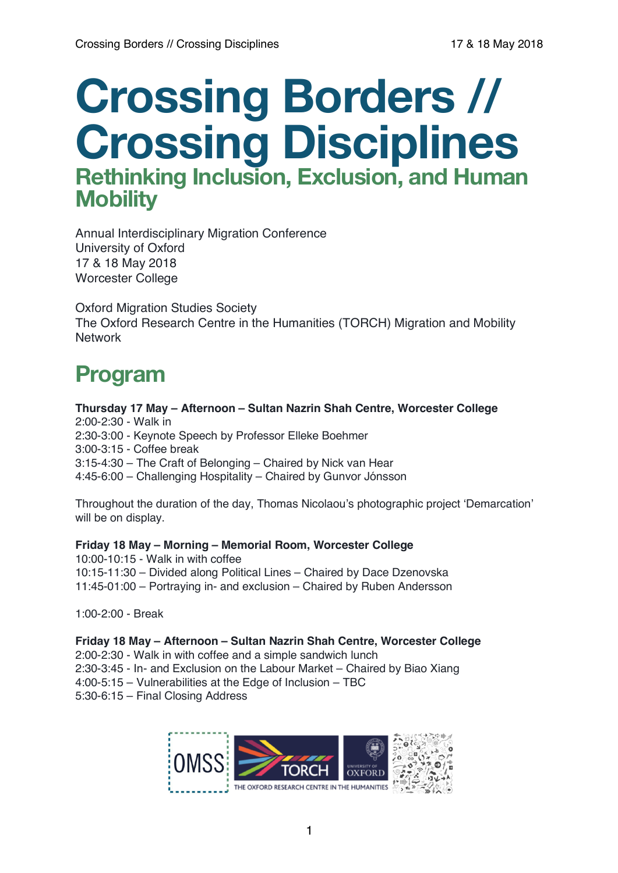# **Crossing Borders // Crossing Disciplines Rethinking Inclusion, Exclusion, and Human Mobility**

Annual Interdisciplinary Migration Conference University of Oxford 17 & 18 May 2018 Worcester College

Oxford Migration Studies Society The Oxford Research Centre in the Humanities (TORCH) Migration and Mobility **Network** 

# **Program**

**Thursday 17 May – Afternoon – Sultan Nazrin Shah Centre, Worcester College** 2:00-2:30 - Walk in 2:30-3:00 - Keynote Speech by Professor Elleke Boehmer 3:00-3:15 - Coffee break 3:15-4:30 – The Craft of Belonging – Chaired by Nick van Hear 4:45-6:00 – Challenging Hospitality – Chaired by Gunvor Jónsson

Throughout the duration of the day, Thomas Nicolaou's photographic project 'Demarcation' will be on display.

**Friday 18 May – Morning – Memorial Room, Worcester College** 10:00-10:15 - Walk in with coffee 10:15-11:30 – Divided along Political Lines – Chaired by Dace Dzenovska 11:45-01:00 – Portraying in- and exclusion – Chaired by Ruben Andersson

1:00-2:00 - Break

**Friday 18 May – Afternoon – Sultan Nazrin Shah Centre, Worcester College** 2:00-2:30 - Walk in with coffee and a simple sandwich lunch 2:30-3:45 - In- and Exclusion on the Labour Market – Chaired by Biao Xiang 4:00-5:15 – Vulnerabilities at the Edge of Inclusion – TBC 5:30-6:15 – Final Closing Address

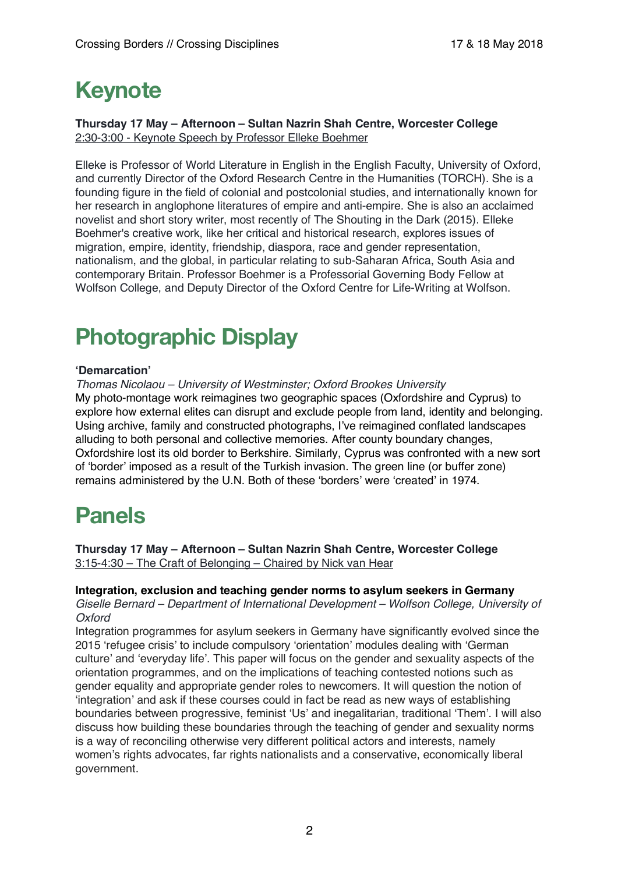# **Keynote**

#### **Thursday 17 May – Afternoon – Sultan Nazrin Shah Centre, Worcester College** 2:30-3:00 - Keynote Speech by Professor Elleke Boehmer

Elleke is Professor of World Literature in English in the English Faculty, University of Oxford, and currently Director of the Oxford Research Centre in the Humanities (TORCH). She is a founding figure in the field of colonial and postcolonial studies, and internationally known for her research in anglophone literatures of empire and anti-empire. She is also an acclaimed novelist and short story writer, most recently of The Shouting in the Dark (2015). Elleke Boehmer's creative work, like her critical and historical research, explores issues of migration, empire, identity, friendship, diaspora, race and gender representation, nationalism, and the global, in particular relating to sub-Saharan Africa, South Asia and contemporary Britain. Professor Boehmer is a Professorial Governing Body Fellow at Wolfson College, and Deputy Director of the Oxford Centre for Life-Writing at Wolfson.

# **Photographic Display**

# **'Demarcation'**

*Thomas Nicolaou – University of Westminster; Oxford Brookes University* My photo-montage work reimagines two geographic spaces (Oxfordshire and Cyprus) to explore how external elites can disrupt and exclude people from land, identity and belonging. Using archive, family and constructed photographs, I've reimagined conflated landscapes alluding to both personal and collective memories. After county boundary changes, Oxfordshire lost its old border to Berkshire. Similarly, Cyprus was confronted with a new sort of 'border' imposed as a result of the Turkish invasion. The green line (or buffer zone) remains administered by the U.N. Both of these 'borders' were 'created' in 1974.

# **Panels**

**Thursday 17 May – Afternoon – Sultan Nazrin Shah Centre, Worcester College** 3:15-4:30 – The Craft of Belonging – Chaired by Nick van Hear

#### **Integration, exclusion and teaching gender norms to asylum seekers in Germany**

*Giselle Bernard – Department of International Development – Wolfson College, University of Oxford*

Integration programmes for asylum seekers in Germany have significantly evolved since the 2015 'refugee crisis' to include compulsory 'orientation' modules dealing with 'German culture' and 'everyday life'. This paper will focus on the gender and sexuality aspects of the orientation programmes, and on the implications of teaching contested notions such as gender equality and appropriate gender roles to newcomers. It will question the notion of 'integration' and ask if these courses could in fact be read as new ways of establishing boundaries between progressive, feminist 'Us' and inegalitarian, traditional 'Them'. I will also discuss how building these boundaries through the teaching of gender and sexuality norms is a way of reconciling otherwise very different political actors and interests, namely women's rights advocates, far rights nationalists and a conservative, economically liberal government.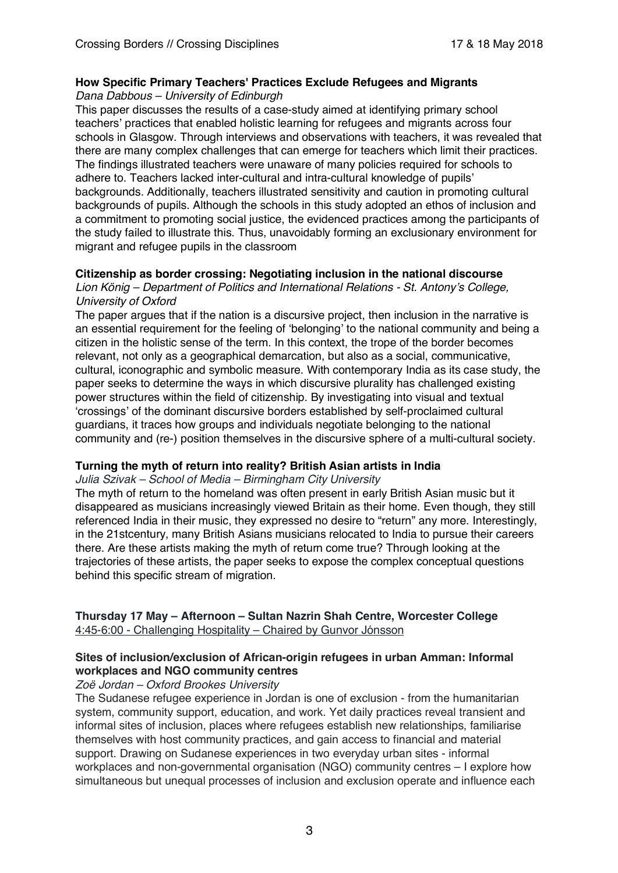# **How Specific Primary Teachers' Practices Exclude Refugees and Migrants**

*Dana Dabbous – University of Edinburgh* 

This paper discusses the results of a case-study aimed at identifying primary school teachers' practices that enabled holistic learning for refugees and migrants across four schools in Glasgow. Through interviews and observations with teachers, it was revealed that there are many complex challenges that can emerge for teachers which limit their practices. The findings illustrated teachers were unaware of many policies required for schools to adhere to. Teachers lacked inter-cultural and intra-cultural knowledge of pupils' backgrounds. Additionally, teachers illustrated sensitivity and caution in promoting cultural backgrounds of pupils. Although the schools in this study adopted an ethos of inclusion and a commitment to promoting social justice, the evidenced practices among the participants of the study failed to illustrate this. Thus, unavoidably forming an exclusionary environment for migrant and refugee pupils in the classroom

# **Citizenship as border crossing: Negotiating inclusion in the national discourse**

*Lion König – Department of Politics and International Relations - St. Antony's College, University of Oxford*

The paper argues that if the nation is a discursive project, then inclusion in the narrative is an essential requirement for the feeling of 'belonging' to the national community and being a citizen in the holistic sense of the term. In this context, the trope of the border becomes relevant, not only as a geographical demarcation, but also as a social, communicative, cultural, iconographic and symbolic measure. With contemporary India as its case study, the paper seeks to determine the ways in which discursive plurality has challenged existing power structures within the field of citizenship. By investigating into visual and textual 'crossings' of the dominant discursive borders established by self-proclaimed cultural guardians, it traces how groups and individuals negotiate belonging to the national community and (re-) position themselves in the discursive sphere of a multi-cultural society.

# **Turning the myth of return into reality? British Asian artists in India**

*Julia Szivak – School of Media – Birmingham City University*

The myth of return to the homeland was often present in early British Asian music but it disappeared as musicians increasingly viewed Britain as their home. Even though, they still referenced India in their music, they expressed no desire to "return" any more. Interestingly, in the 21stcentury, many British Asians musicians relocated to India to pursue their careers there. Are these artists making the myth of return come true? Through looking at the trajectories of these artists, the paper seeks to expose the complex conceptual questions behind this specific stream of migration.

# **Thursday 17 May – Afternoon – Sultan Nazrin Shah Centre, Worcester College** 4:45-6:00 - Challenging Hospitality – Chaired by Gunvor Jónsson

#### **Sites of inclusion/exclusion of African-origin refugees in urban Amman: Informal workplaces and NGO community centres**

*Zoë Jordan – Oxford Brookes University*

The Sudanese refugee experience in Jordan is one of exclusion - from the humanitarian system, community support, education, and work. Yet daily practices reveal transient and informal sites of inclusion, places where refugees establish new relationships, familiarise themselves with host community practices, and gain access to financial and material support. Drawing on Sudanese experiences in two everyday urban sites - informal workplaces and non-governmental organisation (NGO) community centres – I explore how simultaneous but unequal processes of inclusion and exclusion operate and influence each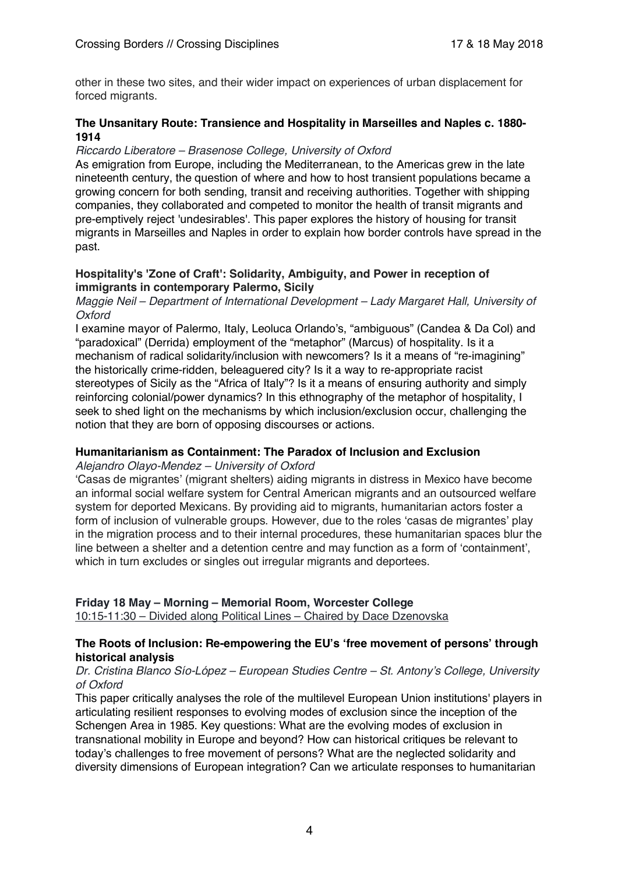other in these two sites, and their wider impact on experiences of urban displacement for forced migrants.

#### **The Unsanitary Route: Transience and Hospitality in Marseilles and Naples c. 1880- 1914**

#### *Riccardo Liberatore – Brasenose College, University of Oxford*

As emigration from Europe, including the Mediterranean, to the Americas grew in the late nineteenth century, the question of where and how to host transient populations became a growing concern for both sending, transit and receiving authorities. Together with shipping companies, they collaborated and competed to monitor the health of transit migrants and pre-emptively reject 'undesirables'. This paper explores the history of housing for transit migrants in Marseilles and Naples in order to explain how border controls have spread in the past.

#### **Hospitality's 'Zone of Craft': Solidarity, Ambiguity, and Power in reception of immigrants in contemporary Palermo, Sicily**

*Maggie Neil – Department of International Development – Lady Margaret Hall, University of Oxford* 

I examine mayor of Palermo, Italy, Leoluca Orlando's, "ambiguous" (Candea & Da Col) and "paradoxical" (Derrida) employment of the "metaphor" (Marcus) of hospitality. Is it a mechanism of radical solidarity/inclusion with newcomers? Is it a means of "re-imagining" the historically crime-ridden, beleaguered city? Is it a way to re-appropriate racist stereotypes of Sicily as the "Africa of Italy"? Is it a means of ensuring authority and simply reinforcing colonial/power dynamics? In this ethnography of the metaphor of hospitality, I seek to shed light on the mechanisms by which inclusion/exclusion occur, challenging the notion that they are born of opposing discourses or actions.

# **Humanitarianism as Containment: The Paradox of Inclusion and Exclusion**

*Alejandro Olayo-Mendez – University of Oxford*

'Casas de migrantes' (migrant shelters) aiding migrants in distress in Mexico have become an informal social welfare system for Central American migrants and an outsourced welfare system for deported Mexicans. By providing aid to migrants, humanitarian actors foster a form of inclusion of vulnerable groups. However, due to the roles 'casas de migrantes' play in the migration process and to their internal procedures, these humanitarian spaces blur the line between a shelter and a detention centre and may function as a form of 'containment', which in turn excludes or singles out irregular migrants and deportees.

#### **Friday 18 May – Morning – Memorial Room, Worcester College**

10:15-11:30 – Divided along Political Lines – Chaired by Dace Dzenovska

#### **The Roots of Inclusion: Re-empowering the EU's 'free movement of persons' through historical analysis**

#### *Dr. Cristina Blanco Sío-López – European Studies Centre – St. Antony's College, University of Oxford*

This paper critically analyses the role of the multilevel European Union institutions' players in articulating resilient responses to evolving modes of exclusion since the inception of the Schengen Area in 1985. Key questions: What are the evolving modes of exclusion in transnational mobility in Europe and beyond? How can historical critiques be relevant to today's challenges to free movement of persons? What are the neglected solidarity and diversity dimensions of European integration? Can we articulate responses to humanitarian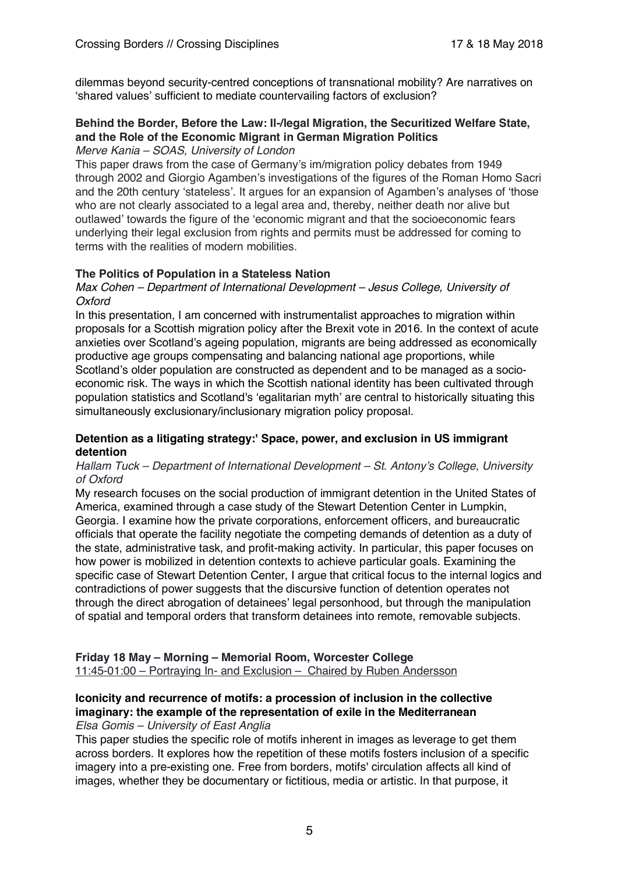dilemmas beyond security-centred conceptions of transnational mobility? Are narratives on 'shared values' sufficient to mediate countervailing factors of exclusion?

# **Behind the Border, Before the Law: Il-/legal Migration, the Securitized Welfare State, and the Role of the Economic Migrant in German Migration Politics**

#### *Merve Kania – SOAS, University of London*

This paper draws from the case of Germany's im/migration policy debates from 1949 through 2002 and Giorgio Agamben's investigations of the figures of the Roman Homo Sacri and the 20th century 'stateless'. It argues for an expansion of Agamben's analyses of 'those who are not clearly associated to a legal area and, thereby, neither death nor alive but outlawed' towards the figure of the 'economic migrant and that the socioeconomic fears underlying their legal exclusion from rights and permits must be addressed for coming to terms with the realities of modern mobilities.

#### **The Politics of Population in a Stateless Nation**

#### *Max Cohen – Department of International Development – Jesus College, University of Oxford*

In this presentation, I am concerned with instrumentalist approaches to migration within proposals for a Scottish migration policy after the Brexit vote in 2016. In the context of acute anxieties over Scotland's ageing population, migrants are being addressed as economically productive age groups compensating and balancing national age proportions, while Scotland's older population are constructed as dependent and to be managed as a socioeconomic risk. The ways in which the Scottish national identity has been cultivated through population statistics and Scotland's 'egalitarian myth' are central to historically situating this simultaneously exclusionary/inclusionary migration policy proposal.

#### **Detention as a litigating strategy:' Space, power, and exclusion in US immigrant detention**

#### *Hallam Tuck – Department of International Development – St. Antony's College, University of Oxford*

My research focuses on the social production of immigrant detention in the United States of America, examined through a case study of the Stewart Detention Center in Lumpkin, Georgia. I examine how the private corporations, enforcement officers, and bureaucratic officials that operate the facility negotiate the competing demands of detention as a duty of the state, administrative task, and profit-making activity. In particular, this paper focuses on how power is mobilized in detention contexts to achieve particular goals. Examining the specific case of Stewart Detention Center, I argue that critical focus to the internal logics and contradictions of power suggests that the discursive function of detention operates not through the direct abrogation of detainees' legal personhood, but through the manipulation of spatial and temporal orders that transform detainees into remote, removable subjects.

**Friday 18 May – Morning – Memorial Room, Worcester College** 11:45-01:00 – Portraying In- and Exclusion – Chaired by Ruben Andersson

# **Iconicity and recurrence of motifs: a procession of inclusion in the collective imaginary: the example of the representation of exile in the Mediterranean**

#### *Elsa Gomis – University of East Anglia*

This paper studies the specific role of motifs inherent in images as leverage to get them across borders. It explores how the repetition of these motifs fosters inclusion of a specific imagery into a pre-existing one. Free from borders, motifs' circulation affects all kind of images, whether they be documentary or fictitious, media or artistic. In that purpose, it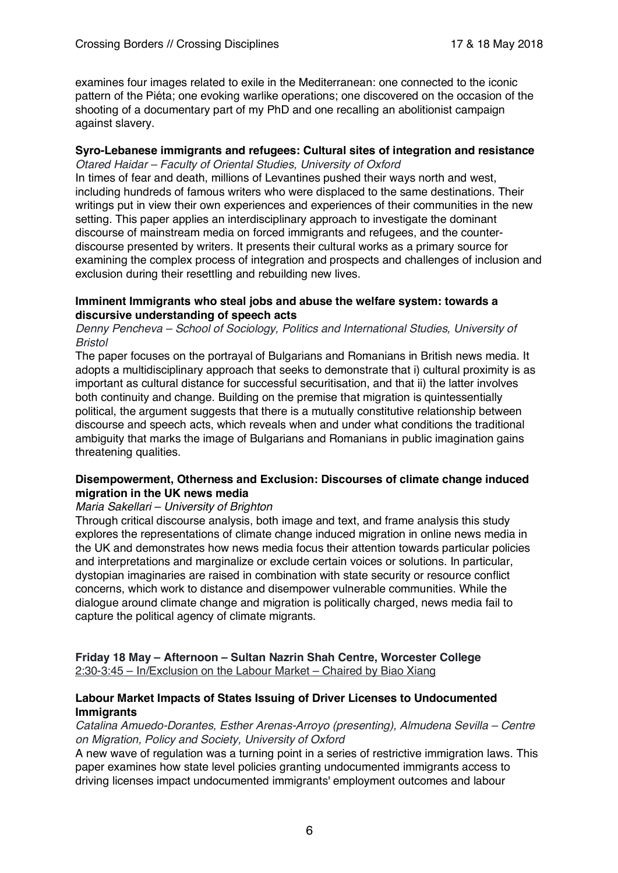examines four images related to exile in the Mediterranean: one connected to the iconic pattern of the Piéta; one evoking warlike operations; one discovered on the occasion of the shooting of a documentary part of my PhD and one recalling an abolitionist campaign against slavery.

#### **Syro-Lebanese immigrants and refugees: Cultural sites of integration and resistance**

*Otared Haidar – Faculty of Oriental Studies, University of Oxford* In times of fear and death, millions of Levantines pushed their ways north and west, including hundreds of famous writers who were displaced to the same destinations. Their writings put in view their own experiences and experiences of their communities in the new setting. This paper applies an interdisciplinary approach to investigate the dominant discourse of mainstream media on forced immigrants and refugees, and the counterdiscourse presented by writers. It presents their cultural works as a primary source for examining the complex process of integration and prospects and challenges of inclusion and exclusion during their resettling and rebuilding new lives.

#### **Imminent Immigrants who steal jobs and abuse the welfare system: towards a discursive understanding of speech acts**

#### *Denny Pencheva – School of Sociology, Politics and International Studies, University of Bristol*

The paper focuses on the portrayal of Bulgarians and Romanians in British news media. It adopts a multidisciplinary approach that seeks to demonstrate that i) cultural proximity is as important as cultural distance for successful securitisation, and that ii) the latter involves both continuity and change. Building on the premise that migration is quintessentially political, the argument suggests that there is a mutually constitutive relationship between discourse and speech acts, which reveals when and under what conditions the traditional ambiguity that marks the image of Bulgarians and Romanians in public imagination gains threatening qualities.

#### **Disempowerment, Otherness and Exclusion: Discourses of climate change induced migration in the UK news media**

#### *Maria Sakellari – University of Brighton*

Through critical discourse analysis, both image and text, and frame analysis this study explores the representations of climate change induced migration in online news media in the UK and demonstrates how news media focus their attention towards particular policies and interpretations and marginalize or exclude certain voices or solutions. In particular, dystopian imaginaries are raised in combination with state security or resource conflict concerns, which work to distance and disempower vulnerable communities. While the dialogue around climate change and migration is politically charged, news media fail to capture the political agency of climate migrants.

#### **Friday 18 May – Afternoon – Sultan Nazrin Shah Centre, Worcester College** 2:30-3:45 – In/Exclusion on the Labour Market – Chaired by Biao Xiang

#### **Labour Market Impacts of States Issuing of Driver Licenses to Undocumented Immigrants**

*Catalina Amuedo-Dorantes, Esther Arenas-Arroyo (presenting), Almudena Sevilla – Centre on Migration, Policy and Society, University of Oxford*

A new wave of regulation was a turning point in a series of restrictive immigration laws. This paper examines how state level policies granting undocumented immigrants access to driving licenses impact undocumented immigrants' employment outcomes and labour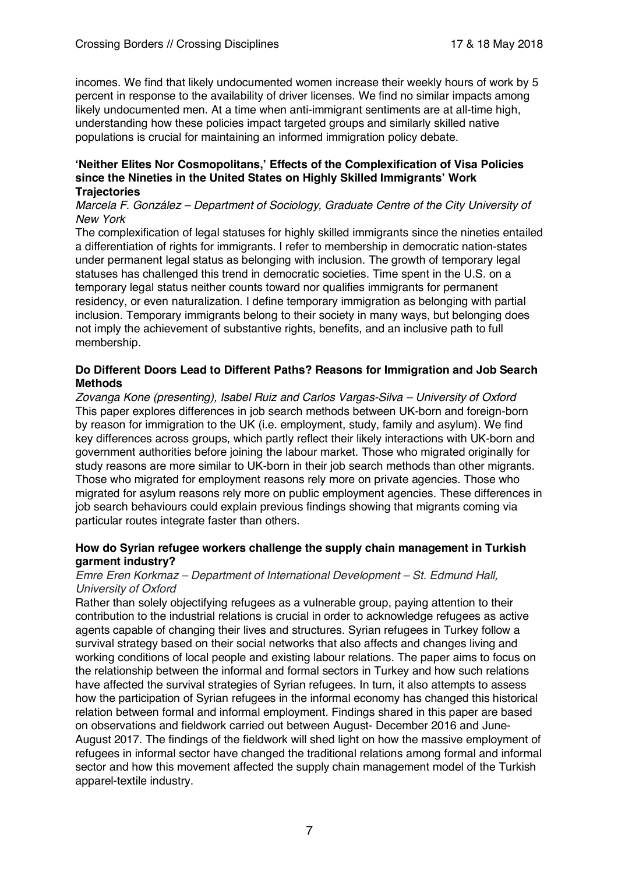incomes. We find that likely undocumented women increase their weekly hours of work by 5 percent in response to the availability of driver licenses. We find no similar impacts among likely undocumented men. At a time when anti-immigrant sentiments are at all-time high, understanding how these policies impact targeted groups and similarly skilled native populations is crucial for maintaining an informed immigration policy debate.

#### **'Neither Elites Nor Cosmopolitans,' Effects of the Complexification of Visa Policies since the Nineties in the United States on Highly Skilled Immigrants' Work Trajectories**

#### *Marcela F. González – Department of Sociology, Graduate Centre of the City University of New York*

The complexification of legal statuses for highly skilled immigrants since the nineties entailed a differentiation of rights for immigrants. I refer to membership in democratic nation-states under permanent legal status as belonging with inclusion. The growth of temporary legal statuses has challenged this trend in democratic societies. Time spent in the U.S. on a temporary legal status neither counts toward nor qualifies immigrants for permanent residency, or even naturalization. I define temporary immigration as belonging with partial inclusion. Temporary immigrants belong to their society in many ways, but belonging does not imply the achievement of substantive rights, benefits, and an inclusive path to full membership.

#### **Do Different Doors Lead to Different Paths? Reasons for Immigration and Job Search Methods**

*Zovanga Kone (presenting), Isabel Ruiz and Carlos Vargas-Silva – University of Oxford* This paper explores differences in job search methods between UK-born and foreign-born by reason for immigration to the UK (i.e. employment, study, family and asylum). We find key differences across groups, which partly reflect their likely interactions with UK-born and government authorities before joining the labour market. Those who migrated originally for study reasons are more similar to UK-born in their job search methods than other migrants. Those who migrated for employment reasons rely more on private agencies. Those who migrated for asylum reasons rely more on public employment agencies. These differences in job search behaviours could explain previous findings showing that migrants coming via particular routes integrate faster than others.

#### **How do Syrian refugee workers challenge the supply chain management in Turkish garment industry?**

#### *Emre Eren Korkmaz – Department of International Development – St. Edmund Hall, University of Oxford*

Rather than solely objectifying refugees as a vulnerable group, paying attention to their contribution to the industrial relations is crucial in order to acknowledge refugees as active agents capable of changing their lives and structures. Syrian refugees in Turkey follow a survival strategy based on their social networks that also affects and changes living and working conditions of local people and existing labour relations. The paper aims to focus on the relationship between the informal and formal sectors in Turkey and how such relations have affected the survival strategies of Syrian refugees. In turn, it also attempts to assess how the participation of Syrian refugees in the informal economy has changed this historical relation between formal and informal employment. Findings shared in this paper are based on observations and fieldwork carried out between August- December 2016 and June-August 2017. The findings of the fieldwork will shed light on how the massive employment of refugees in informal sector have changed the traditional relations among formal and informal sector and how this movement affected the supply chain management model of the Turkish apparel-textile industry.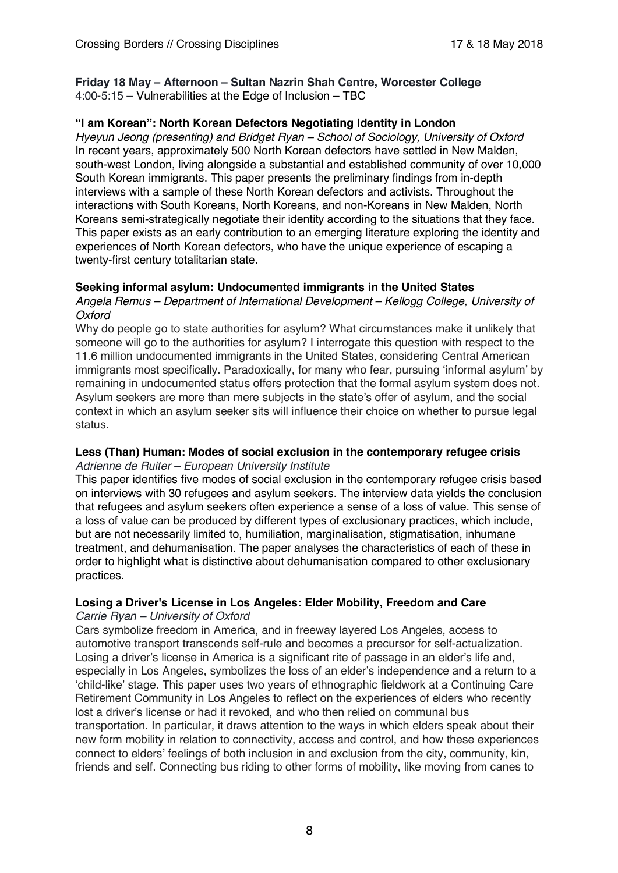#### **Friday 18 May – Afternoon – Sultan Nazrin Shah Centre, Worcester College** 4:00-5:15 – Vulnerabilities at the Edge of Inclusion – TBC

### **"I am Korean": North Korean Defectors Negotiating Identity in London**

*Hyeyun Jeong (presenting) and Bridget Ryan – School of Sociology, University of Oxford* In recent years, approximately 500 North Korean defectors have settled in New Malden, south-west London, living alongside a substantial and established community of over 10,000 South Korean immigrants. This paper presents the preliminary findings from in-depth interviews with a sample of these North Korean defectors and activists. Throughout the interactions with South Koreans, North Koreans, and non-Koreans in New Malden, North Koreans semi-strategically negotiate their identity according to the situations that they face. This paper exists as an early contribution to an emerging literature exploring the identity and experiences of North Korean defectors, who have the unique experience of escaping a twenty-first century totalitarian state.

#### **Seeking informal asylum: Undocumented immigrants in the United States**

*Angela Remus – Department of International Development – Kellogg College, University of Oxford*

Why do people go to state authorities for asylum? What circumstances make it unlikely that someone will go to the authorities for asylum? I interrogate this question with respect to the 11.6 million undocumented immigrants in the United States, considering Central American immigrants most specifically. Paradoxically, for many who fear, pursuing 'informal asylum' by remaining in undocumented status offers protection that the formal asylum system does not. Asylum seekers are more than mere subjects in the state's offer of asylum, and the social context in which an asylum seeker sits will influence their choice on whether to pursue legal status.

# **Less (Than) Human: Modes of social exclusion in the contemporary refugee crisis**

*Adrienne de Ruiter – European University Institute*

This paper identifies five modes of social exclusion in the contemporary refugee crisis based on interviews with 30 refugees and asylum seekers. The interview data yields the conclusion that refugees and asylum seekers often experience a sense of a loss of value. This sense of a loss of value can be produced by different types of exclusionary practices, which include, but are not necessarily limited to, humiliation, marginalisation, stigmatisation, inhumane treatment, and dehumanisation. The paper analyses the characteristics of each of these in order to highlight what is distinctive about dehumanisation compared to other exclusionary practices.

# **Losing a Driver's License in Los Angeles: Elder Mobility, Freedom and Care**

# *Carrie Ryan – University of Oxford*

Cars symbolize freedom in America, and in freeway layered Los Angeles, access to automotive transport transcends self-rule and becomes a precursor for self-actualization. Losing a driver's license in America is a significant rite of passage in an elder's life and, especially in Los Angeles, symbolizes the loss of an elder's independence and a return to a 'child-like' stage. This paper uses two years of ethnographic fieldwork at a Continuing Care Retirement Community in Los Angeles to reflect on the experiences of elders who recently lost a driver's license or had it revoked, and who then relied on communal bus transportation. In particular, it draws attention to the ways in which elders speak about their new form mobility in relation to connectivity, access and control, and how these experiences connect to elders' feelings of both inclusion in and exclusion from the city, community, kin, friends and self. Connecting bus riding to other forms of mobility, like moving from canes to